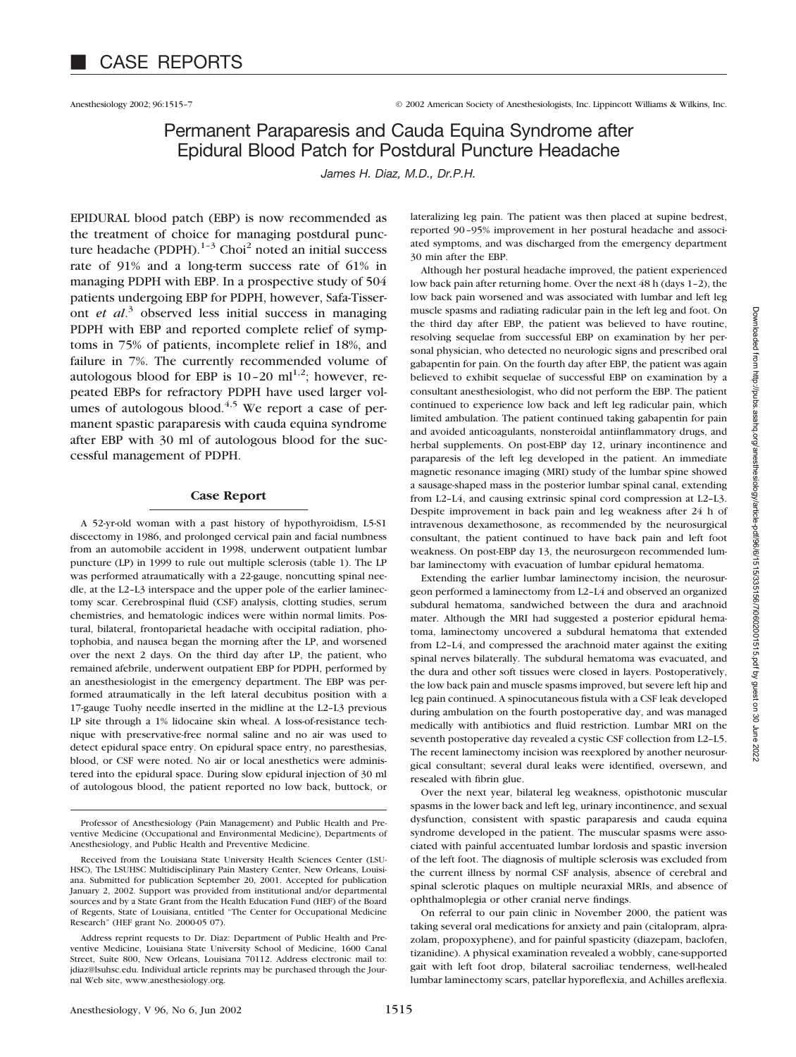Anesthesiology 2002; 96:1515–7 © 2002 American Society of Anesthesiologists, Inc. Lippincott Williams & Wilkins, Inc.

# Permanent Paraparesis and Cauda Equina Syndrome after Epidural Blood Patch for Postdural Puncture Headache

*James H. Diaz, M.D., Dr.P.H.*

EPIDURAL blood patch (EBP) is now recommended as the treatment of choice for managing postdural puncture headache (PDPH). $1-3$  Choi<sup>2</sup> noted an initial success rate of 91% and a long-term success rate of 61% in managing PDPH with EBP. In a prospective study of 504 patients undergoing EBP for PDPH, however, Safa-Tisseront *et al*. <sup>3</sup> observed less initial success in managing PDPH with EBP and reported complete relief of symptoms in 75% of patients, incomplete relief in 18%, and failure in 7%. The currently recommended volume of autologous blood for EBP is  $10-20 \text{ ml}^{1,2}$ ; however, repeated EBPs for refractory PDPH have used larger volumes of autologous blood. $4.5$  We report a case of permanent spastic paraparesis with cauda equina syndrome after EBP with 30 ml of autologous blood for the successful management of PDPH.

#### **Case Report**

A 52-yr-old woman with a past history of hypothyroidism, L5-S1 discectomy in 1986, and prolonged cervical pain and facial numbness from an automobile accident in 1998, underwent outpatient lumbar puncture (LP) in 1999 to rule out multiple sclerosis (table 1). The LP was performed atraumatically with a 22-gauge, noncutting spinal needle, at the L2–L3 interspace and the upper pole of the earlier laminectomy scar. Cerebrospinal fluid (CSF) analysis, clotting studies, serum chemistries, and hematologic indices were within normal limits. Postural, bilateral, frontoparietal headache with occipital radiation, photophobia, and nausea began the morning after the LP, and worsened over the next 2 days. On the third day after LP, the patient, who remained afebrile, underwent outpatient EBP for PDPH, performed by an anesthesiologist in the emergency department. The EBP was performed atraumatically in the left lateral decubitus position with a 17-gauge Tuohy needle inserted in the midline at the L2–L3 previous LP site through a 1% lidocaine skin wheal. A loss-of-resistance technique with preservative-free normal saline and no air was used to detect epidural space entry. On epidural space entry, no paresthesias, blood, or CSF were noted. No air or local anesthetics were administered into the epidural space. During slow epidural injection of 30 ml of autologous blood, the patient reported no low back, buttock, or

lateralizing leg pain. The patient was then placed at supine bedrest, reported 90–95% improvement in her postural headache and associated symptoms, and was discharged from the emergency department 30 min after the EBP.

Although her postural headache improved, the patient experienced low back pain after returning home. Over the next 48 h (days 1–2), the low back pain worsened and was associated with lumbar and left leg muscle spasms and radiating radicular pain in the left leg and foot. On the third day after EBP, the patient was believed to have routine, resolving sequelae from successful EBP on examination by her personal physician, who detected no neurologic signs and prescribed oral gabapentin for pain. On the fourth day after EBP, the patient was again believed to exhibit sequelae of successful EBP on examination by a consultant anesthesiologist, who did not perform the EBP. The patient continued to experience low back and left leg radicular pain, which limited ambulation. The patient continued taking gabapentin for pain and avoided anticoagulants, nonsteroidal antiinflammatory drugs, and herbal supplements. On post-EBP day 12, urinary incontinence and paraparesis of the left leg developed in the patient. An immediate magnetic resonance imaging (MRI) study of the lumbar spine showed a sausage-shaped mass in the posterior lumbar spinal canal, extending from L2–L4, and causing extrinsic spinal cord compression at L2–L3. Despite improvement in back pain and leg weakness after 24 h of intravenous dexamethosone, as recommended by the neurosurgical consultant, the patient continued to have back pain and left foot weakness. On post-EBP day 13, the neurosurgeon recommended lumbar laminectomy with evacuation of lumbar epidural hematoma.

Extending the earlier lumbar laminectomy incision, the neurosurgeon performed a laminectomy from L2–L4 and observed an organized subdural hematoma, sandwiched between the dura and arachnoid mater. Although the MRI had suggested a posterior epidural hematoma, laminectomy uncovered a subdural hematoma that extended from L2–L4, and compressed the arachnoid mater against the exiting spinal nerves bilaterally. The subdural hematoma was evacuated, and the dura and other soft tissues were closed in layers. Postoperatively, the low back pain and muscle spasms improved, but severe left hip and leg pain continued. A spinocutaneous fistula with a CSF leak developed during ambulation on the fourth postoperative day, and was managed medically with antibiotics and fluid restriction. Lumbar MRI on the seventh postoperative day revealed a cystic CSF collection from L2–L5. The recent laminectomy incision was reexplored by another neurosurgical consultant; several dural leaks were identified, oversewn, and resealed with fibrin glue.

Over the next year, bilateral leg weakness, opisthotonic muscular spasms in the lower back and left leg, urinary incontinence, and sexual dysfunction, consistent with spastic paraparesis and cauda equina syndrome developed in the patient. The muscular spasms were associated with painful accentuated lumbar lordosis and spastic inversion of the left foot. The diagnosis of multiple sclerosis was excluded from the current illness by normal CSF analysis, absence of cerebral and spinal sclerotic plaques on multiple neuraxial MRIs, and absence of ophthalmoplegia or other cranial nerve findings.

On referral to our pain clinic in November 2000, the patient was taking several oral medications for anxiety and pain (citalopram, alprazolam, propoxyphene), and for painful spasticity (diazepam, baclofen, tizanidine). A physical examination revealed a wobbly, cane-supported gait with left foot drop, bilateral sacroiliac tenderness, well-healed lumbar laminectomy scars, patellar hyporeflexia, and Achilles areflexia.

Professor of Anesthesiology (Pain Management) and Public Health and Preventive Medicine (Occupational and Environmental Medicine), Departments of Anesthesiology, and Public Health and Preventive Medicine.

Received from the Louisiana State University Health Sciences Center (LSU-HSC), The LSUHSC Multidisciplinary Pain Mastery Center, New Orleans, Louisiana. Submitted for publication September 20, 2001. Accepted for publication January 2, 2002. Support was provided from institutional and/or departmental sources and by a State Grant from the Health Education Fund (HEF) of the Board of Regents, State of Louisiana, entitled "The Center for Occupational Medicine Research" (HEF grant No. 2000-05 07).

Address reprint requests to Dr. Diaz: Department of Public Health and Preventive Medicine, Louisiana State University School of Medicine, 1600 Canal Street, Suite 800, New Orleans, Louisiana 70112. Address electronic mail to: jdiaz@lsuhsc.edu. Individual article reprints may be purchased through the Journal Web site, www.anesthesiology.org.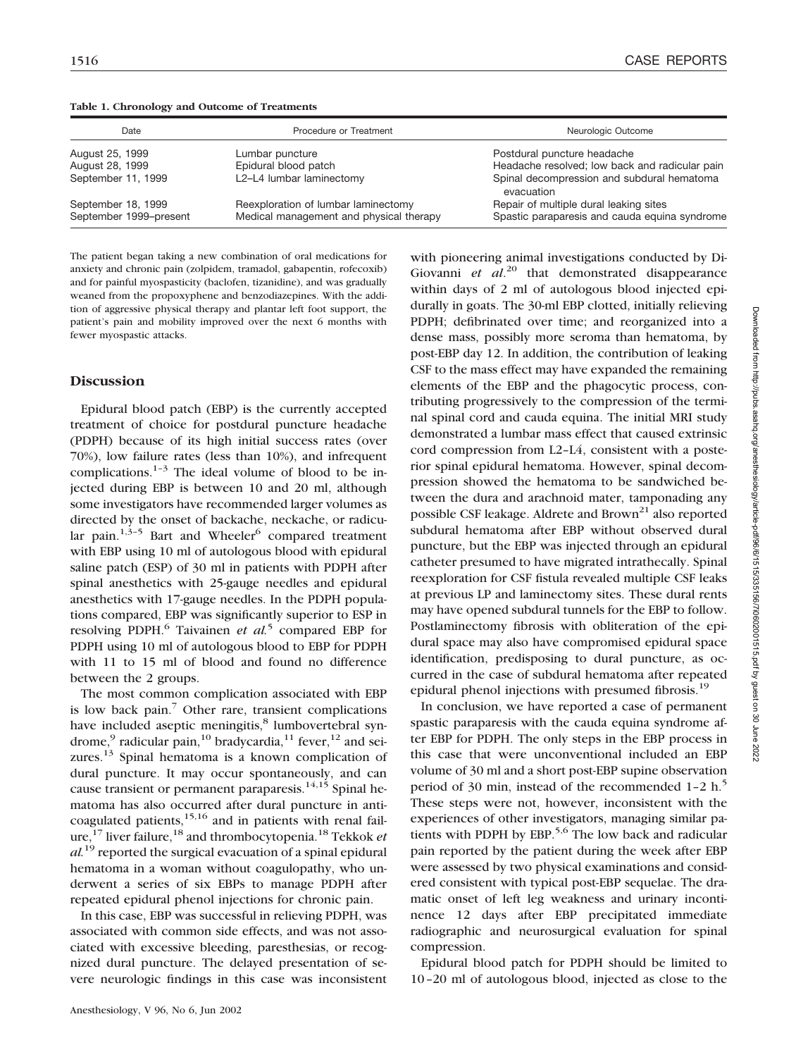| Date                                         | Procedure or Treatment                                                         | Neurologic Outcome                                                                      |
|----------------------------------------------|--------------------------------------------------------------------------------|-----------------------------------------------------------------------------------------|
| August 25, 1999                              | Lumbar puncture                                                                | Postdural puncture headache                                                             |
| August 28, 1999                              | Epidural blood patch                                                           | Headache resolved; low back and radicular pain                                          |
| September 11, 1999                           | L2-L4 lumbar laminectomy                                                       | Spinal decompression and subdural hematoma<br>evacuation                                |
| September 18, 1999<br>September 1999-present | Reexploration of lumbar laminectomy<br>Medical management and physical therapy | Repair of multiple dural leaking sites<br>Spastic paraparesis and cauda equina syndrome |

**Table 1. Chronology and Outcome of Treatments**

The patient began taking a new combination of oral medications for anxiety and chronic pain (zolpidem, tramadol, gabapentin, rofecoxib) and for painful myospasticity (baclofen, tizanidine), and was gradually weaned from the propoxyphene and benzodiazepines. With the addition of aggressive physical therapy and plantar left foot support, the patient's pain and mobility improved over the next 6 months with fewer myospastic attacks.

## **Discussion**

Epidural blood patch (EBP) is the currently accepted treatment of choice for postdural puncture headache (PDPH) because of its high initial success rates (over 70%), low failure rates (less than 10%), and infrequent complications. $1-3$  The ideal volume of blood to be injected during EBP is between 10 and 20 ml, although some investigators have recommended larger volumes as directed by the onset of backache, neckache, or radicular pain. $1,3-5$  Bart and Wheeler<sup>6</sup> compared treatment with EBP using 10 ml of autologous blood with epidural saline patch (ESP) of 30 ml in patients with PDPH after spinal anesthetics with 25-gauge needles and epidural anesthetics with 17-gauge needles. In the PDPH populations compared, EBP was significantly superior to ESP in resolving PDPH.6 Taivainen *et al.*<sup>5</sup> compared EBP for PDPH using 10 ml of autologous blood to EBP for PDPH with 11 to 15 ml of blood and found no difference between the 2 groups.

The most common complication associated with EBP is low back pain. $\frac{7}{7}$  Other rare, transient complications have included aseptic meningitis,<sup>8</sup> lumbovertebral syndrome,<sup>9</sup> radicular pain,<sup>10</sup> bradycardia,<sup>11</sup> fever,<sup>12</sup> and seizures.<sup>13</sup> Spinal hematoma is a known complication of dural puncture. It may occur spontaneously, and can cause transient or permanent paraparesis.<sup>14,15</sup> Spinal hematoma has also occurred after dural puncture in anticoagulated patients,15,16 and in patients with renal failure,17 liver failure,18 and thrombocytopenia.18 Tekkok *et al.*<sup>19</sup> reported the surgical evacuation of a spinal epidural hematoma in a woman without coagulopathy, who underwent a series of six EBPs to manage PDPH after repeated epidural phenol injections for chronic pain.

In this case, EBP was successful in relieving PDPH, was associated with common side effects, and was not associated with excessive bleeding, paresthesias, or recognized dural puncture. The delayed presentation of severe neurologic findings in this case was inconsistent

with pioneering animal investigations conducted by Di-Giovanni *et al*. <sup>20</sup> that demonstrated disappearance within days of 2 ml of autologous blood injected epidurally in goats. The 30-ml EBP clotted, initially relieving PDPH; defibrinated over time; and reorganized into a dense mass, possibly more seroma than hematoma, by post-EBP day 12. In addition, the contribution of leaking CSF to the mass effect may have expanded the remaining elements of the EBP and the phagocytic process, contributing progressively to the compression of the terminal spinal cord and cauda equina. The initial MRI study demonstrated a lumbar mass effect that caused extrinsic cord compression from L2–L4, consistent with a posterior spinal epidural hematoma. However, spinal decompression showed the hematoma to be sandwiched between the dura and arachnoid mater, tamponading any possible CSF leakage. Aldrete and Brown<sup>21</sup> also reported subdural hematoma after EBP without observed dural puncture, but the EBP was injected through an epidural catheter presumed to have migrated intrathecally. Spinal reexploration for CSF fistula revealed multiple CSF leaks at previous LP and laminectomy sites. These dural rents may have opened subdural tunnels for the EBP to follow. Postlaminectomy fibrosis with obliteration of the epidural space may also have compromised epidural space identification, predisposing to dural puncture, as occurred in the case of subdural hematoma after repeated epidural phenol injections with presumed fibrosis.<sup>19</sup>

In conclusion, we have reported a case of permanent spastic paraparesis with the cauda equina syndrome after EBP for PDPH. The only steps in the EBP process in this case that were unconventional included an EBP volume of 30 ml and a short post-EBP supine observation period of 30 min, instead of the recommended 1-2 h.<sup>5</sup> These steps were not, however, inconsistent with the experiences of other investigators, managing similar patients with PDPH by EBP.<sup>5,6</sup> The low back and radicular pain reported by the patient during the week after EBP were assessed by two physical examinations and considered consistent with typical post-EBP sequelae. The dramatic onset of left leg weakness and urinary incontinence 12 days after EBP precipitated immediate radiographic and neurosurgical evaluation for spinal compression.

Epidural blood patch for PDPH should be limited to 10–20 ml of autologous blood, injected as close to the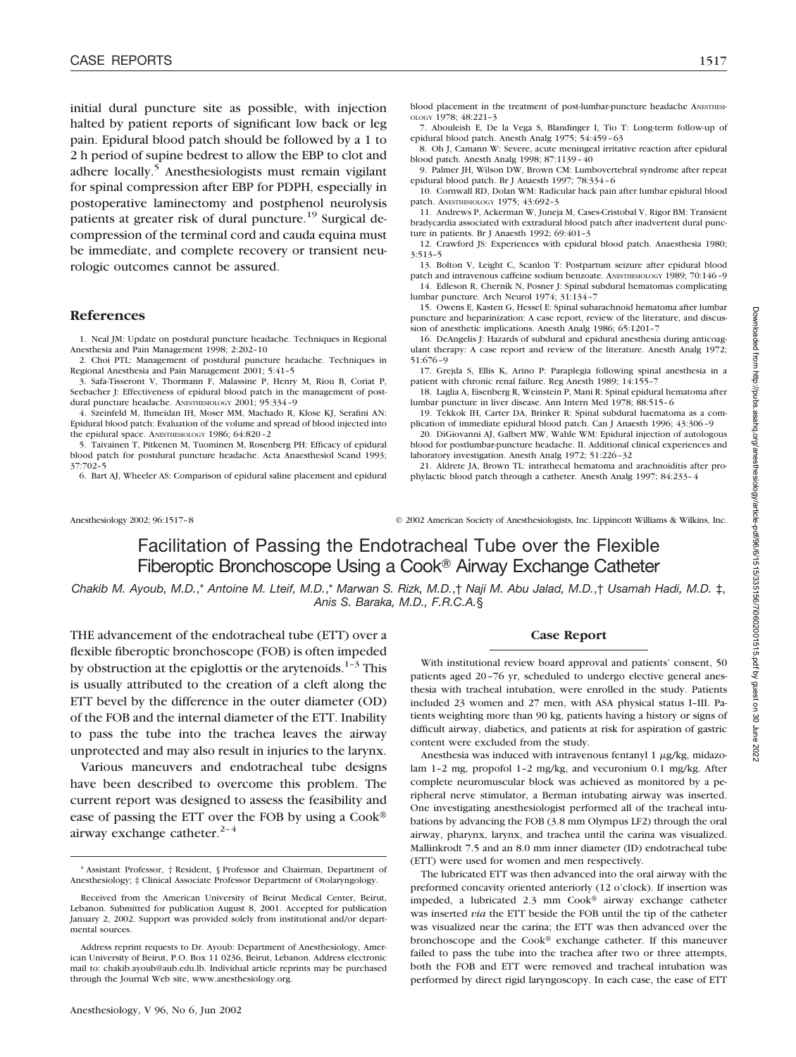initial dural puncture site as possible, with injection halted by patient reports of significant low back or leg pain. Epidural blood patch should be followed by a 1 to 2 h period of supine bedrest to allow the EBP to clot and adhere locally.<sup>5</sup> Anesthesiologists must remain vigilant for spinal compression after EBP for PDPH, especially in postoperative laminectomy and postphenol neurolysis patients at greater risk of dural puncture.<sup>19</sup> Surgical decompression of the terminal cord and cauda equina must be immediate, and complete recovery or transient neurologic outcomes cannot be assured.

### **References**

1. Neal JM: Update on postdural puncture headache. Techniques in Regional Anesthesia and Pain Management 1998; 2:202–10

2. Choi PTL: Management of postdural puncture headache. Techniques in Regional Anesthesia and Pain Management 2001; 5:41–5

3. Safa-Tisseront V, Thormann F, Malassine P, Henry M, Riou B, Coriat P, Seebacher J: Effectiveness of epidural blood patch in the management of postdural puncture headache. ANESTHESIOLOGY 2001; 95:334–9

4. Szeinfeld M, Ihmeidan IH, Moser MM, Machado R, Klose KJ, Serafini AN: Epidural blood patch: Evaluation of the volume and spread of blood injected into the epidural space. ANESTHESIOLOGY 1986; 64:820–2

5. Taivainen T, Pitkenen M, Tuominen M, Rosenberg PH: Efficacy of epidural blood patch for postdural puncture headache. Acta Anaesthesiol Scand 1993; 37:702–5

6. Bart AJ, Wheeler AS: Comparison of epidural saline placement and epidural

blood placement in the treatment of post-lumbar-puncture headache ANESTHESI-OLOGY 1978; 48:221–3

7. Abouleish E, De la Vega S, Blandinger I, Tio T: Long-term follow-up of epidural blood patch. Anesth Analg 1975; 54:459–63

8. Oh J, Camann W: Severe, acute meningeal irritative reaction after epidural blood patch. Anesth Analg 1998; 87:1139–40

9. Palmer JH, Wilson DW, Brown CM: Lumbovertebral syndrome after repeat epidural blood patch. Br J Anaesth 1997; 78:334–6

10. Cornwall RD, Dolan WM: Radicular back pain after lumbar epidural blood patch. ANESTHESIOLOGY 1975; 43:692–3

11. Andrews P, Ackerman W, Juneja M, Cases-Cristobal V, Rigor BM: Transient bradycardia associated with extradural blood patch after inadvertent dural puncture in patients. Br J Anaesth 1992; 69:401–3

12. Crawford JS: Experiences with epidural blood patch. Anaesthesia 1980; 3:513–5

13. Bolton V, Leight C, Scanlon T: Postpartum seizure after epidural blood patch and intravenous caffeine sodium benzoate. ANESTHESIOLOGY 1989; 70:146–9 14. Edleson R, Chernik N, Posner J: Spinal subdural hematomas complicating

lumbar puncture. Arch Neurol 1974; 31:134–7

15. Owens E, Kasten G, Hessel E: Spinal subarachnoid hematoma after lumbar puncture and heparinization: A case report, review of the literature, and discussion of anesthetic implications. Anesth Analg 1986; 65:1201–7

16. DeAngelis J: Hazards of subdural and epidural anesthesia during anticoagulant therapy: A case report and review of the literature. Anesth Analg 1972; 51:676–9

17. Grejda S, Ellis K, Arino P: Paraplegia following spinal anesthesia in a patient with chronic renal failure. Reg Anesth 1989; 14:155–7

18. Laglia A, Eisenberg R, Weinstein P, Mani R: Spinal epidural hematoma after lumbar puncture in liver disease. Ann Intern Med 1978; 88:515–6

19. Tekkok IH, Carter DA, Brinker R: Spinal subdural haematoma as a complication of immediate epidural blood patch. Can J Anaesth 1996; 43:306–9

20. DiGiovanni AJ, Galbert MW, Wahle WM: Epidural injection of autologous blood for postlumbar-puncture headache. II. Additional clinical experiences and laboratory investigation. Anesth Analg 1972; 51:226–32

21. Aldrete JA, Brown TL: intrathecal hematoma and arachnoiditis after prophylactic blood patch through a catheter. Anesth Analg 1997; 84:233–4

Anesthesiology 2002; 96:1517–8 © 2002 American Society of Anesthesiologists, Inc. Lippincott Williams & Wilkins, Inc.

# Facilitation of Passing the Endotracheal Tube over the Flexible Fiberoptic Bronchoscope Using a Cook® Airway Exchange Catheter

*Chakib M. Ayoub, M.D.*,\* *Antoine M. Lteif, M.D.*,\* *Marwan S. Rizk, M.D.*,† *Naji M. Abu Jalad, M.D.*,† *Usamah Hadi, M.D.* ‡, *Anis S. Baraka, M.D., F.R.C.A.*§

THE advancement of the endotracheal tube (ETT) over a flexible fiberoptic bronchoscope (FOB) is often impeded by obstruction at the epiglottis or the arytenoids.<sup>1-3</sup> This is usually attributed to the creation of a cleft along the ETT bevel by the difference in the outer diameter (OD) of the FOB and the internal diameter of the ETT. Inability to pass the tube into the trachea leaves the airway unprotected and may also result in injuries to the larynx.

Various maneuvers and endotracheal tube designs have been described to overcome this problem. The current report was designed to assess the feasibility and ease of passing the ETT over the FOB by using a Cook airway exchange catheter. $2-4$ 

Downloaded from http://pubs.asahq.org/anesthesiology/article-pdf/96/6/1515/335156/7i0602001515.pdf by guest on 30 June 2022

## **Case Report**

With institutional review board approval and patients' consent, 50 patients aged 20–76 yr, scheduled to undergo elective general anesthesia with tracheal intubation, were enrolled in the study. Patients included 23 women and 27 men, with ASA physical status I–III. Patients weighting more than 90 kg, patients having a history or signs of difficult airway, diabetics, and patients at risk for aspiration of gastric content were excluded from the study.

Anesthesia was induced with intravenous fentanyl  $1 \mu g/kg$ , midazolam 1–2 mg, propofol 1–2 mg/kg, and vecuronium 0.1 mg/kg. After complete neuromuscular block was achieved as monitored by a peripheral nerve stimulator, a Berman intubating airway was inserted. One investigating anesthesiologist performed all of the tracheal intubations by advancing the FOB (3.8 mm Olympus LF2) through the oral airway, pharynx, larynx, and trachea until the carina was visualized. Mallinkrodt 7.5 and an 8.0 mm inner diameter (ID) endotracheal tube (ETT) were used for women and men respectively.

The lubricated ETT was then advanced into the oral airway with the preformed concavity oriented anteriorly (12 o'clock). If insertion was impeded, a lubricated  $2.3$  mm Cook® airway exchange catheter was inserted *via* the ETT beside the FOB until the tip of the catheter was visualized near the carina; the ETT was then advanced over the bronchoscope and the Cook® exchange catheter. If this maneuver failed to pass the tube into the trachea after two or three attempts, both the FOB and ETT were removed and tracheal intubation was performed by direct rigid laryngoscopy. In each case, the ease of ETT

<sup>\*</sup> Assistant Professor, † Resident, § Professor and Chairman, Department of Anesthesiology; ‡ Clinical Associate Professor Department of Otolaryngology.

Received from the American University of Beirut Medical Center, Beirut, Lebanon. Submitted for publication August 8, 2001. Accepted for publication January 2, 2002. Support was provided solely from institutional and/or departmental sources.

Address reprint requests to Dr. Ayoub: Department of Anesthesiology, American University of Beirut, P.O. Box 11 0236, Beirut, Lebanon. Address electronic mail to: chakib.ayoub@aub.edu.lb. Individual article reprints may be purchased through the Journal Web site, www.anesthesiology.org.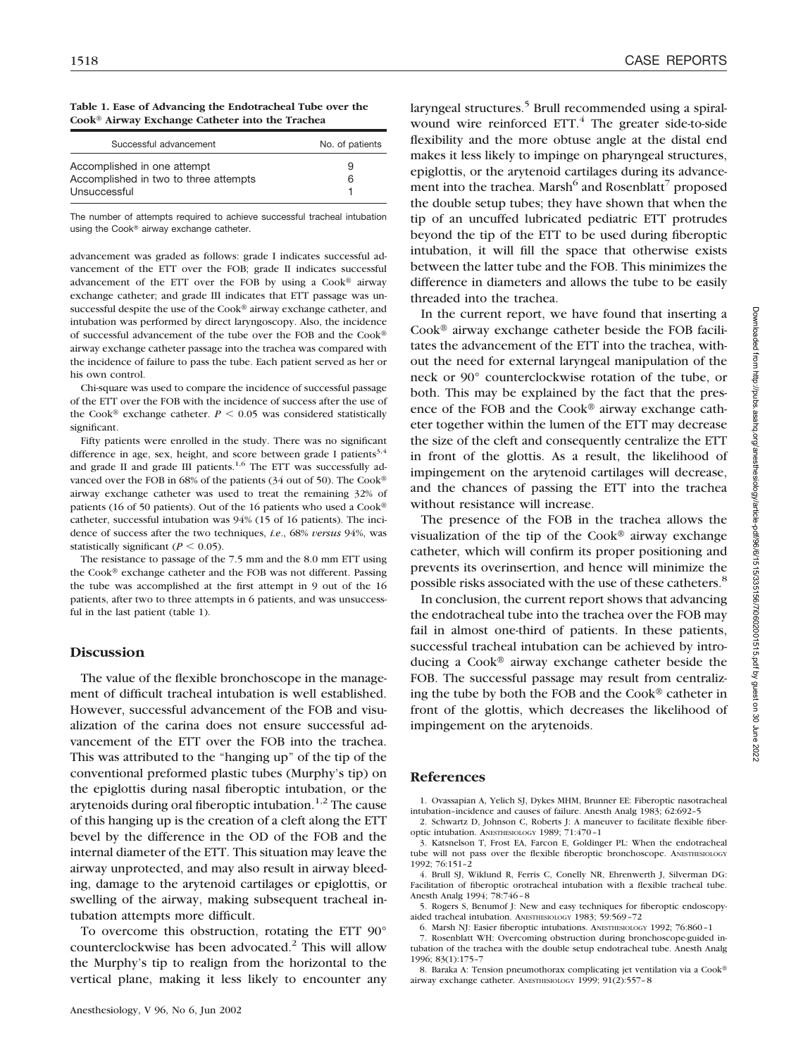**Table 1. Ease of Advancing the Endotracheal Tube over the Cook Airway Exchange Catheter into the Trachea**

| Successful advancement                                               | No. of patients |  |  |  |
|----------------------------------------------------------------------|-----------------|--|--|--|
| Accomplished in one attempt<br>Accomplished in two to three attempts | 9<br>6          |  |  |  |
| Unsuccessful                                                         |                 |  |  |  |

The number of attempts required to achieve successful tracheal intubation using the Cook® airway exchange catheter.

advancement was graded as follows: grade I indicates successful advancement of the ETT over the FOB; grade II indicates successful advancement of the ETT over the FOB by using a  $Cook^{\circledR}$  airway exchange catheter; and grade III indicates that ETT passage was unsuccessful despite the use of the Cook® airway exchange catheter, and intubation was performed by direct laryngoscopy. Also, the incidence of successful advancement of the tube over the FOB and the Cook airway exchange catheter passage into the trachea was compared with the incidence of failure to pass the tube. Each patient served as her or his own control.

Chi-square was used to compare the incidence of successful passage of the ETT over the FOB with the incidence of success after the use of the Cook<sup>®</sup> exchange catheter.  $P < 0.05$  was considered statistically significant.

Fifty patients were enrolled in the study. There was no significant difference in age, sex, height, and score between grade I patients<sup>3,4</sup> and grade II and grade III patients. $1,6$  The ETT was successfully advanced over the FOB in 68% of the patients (34 out of 50). The Cook® airway exchange catheter was used to treat the remaining 32% of patients (16 of 50 patients). Out of the 16 patients who used a Cook catheter, successful intubation was 94% (15 of 16 patients). The incidence of success after the two techniques, *i.e*., 68% *versus* 94%, was statistically significant ( $P \leq 0.05$ ).

The resistance to passage of the 7.5 mm and the 8.0 mm ETT using the Cook® exchange catheter and the FOB was not different. Passing the tube was accomplished at the first attempt in 9 out of the 16 patients, after two to three attempts in 6 patients, and was unsuccessful in the last patient (table 1).

## **Discussion**

The value of the flexible bronchoscope in the management of difficult tracheal intubation is well established. However, successful advancement of the FOB and visualization of the carina does not ensure successful advancement of the ETT over the FOB into the trachea. This was attributed to the "hanging up" of the tip of the conventional preformed plastic tubes (Murphy's tip) on the epiglottis during nasal fiberoptic intubation, or the arytenoids during oral fiberoptic intubation.<sup>1,2</sup> The cause of this hanging up is the creation of a cleft along the ETT bevel by the difference in the OD of the FOB and the internal diameter of the ETT. This situation may leave the airway unprotected, and may also result in airway bleeding, damage to the arytenoid cartilages or epiglottis, or swelling of the airway, making subsequent tracheal intubation attempts more difficult.

To overcome this obstruction, rotating the ETT 90° counterclockwise has been advocated.<sup>2</sup> This will allow the Murphy's tip to realign from the horizontal to the vertical plane, making it less likely to encounter any laryngeal structures.<sup>5</sup> Brull recommended using a spiralwound wire reinforced  $ETT<sup>4</sup>$ . The greater side-to-side flexibility and the more obtuse angle at the distal end makes it less likely to impinge on pharyngeal structures, epiglottis, or the arytenoid cartilages during its advancement into the trachea. Marsh<sup>6</sup> and Rosenblatt<sup>7</sup> proposed the double setup tubes; they have shown that when the tip of an uncuffed lubricated pediatric ETT protrudes beyond the tip of the ETT to be used during fiberoptic intubation, it will fill the space that otherwise exists between the latter tube and the FOB. This minimizes the difference in diameters and allows the tube to be easily threaded into the trachea.

In the current report, we have found that inserting a  $Cook^{\circledR}$  airway exchange catheter beside the FOB facilitates the advancement of the ETT into the trachea, without the need for external laryngeal manipulation of the neck or 90° counterclockwise rotation of the tube, or both. This may be explained by the fact that the presence of the FOB and the Cook® airway exchange catheter together within the lumen of the ETT may decrease the size of the cleft and consequently centralize the ETT in front of the glottis. As a result, the likelihood of impingement on the arytenoid cartilages will decrease, and the chances of passing the ETT into the trachea without resistance will increase.

The presence of the FOB in the trachea allows the visualization of the tip of the Cook<sup>®</sup> airway exchange catheter, which will confirm its proper positioning and prevents its overinsertion, and hence will minimize the possible risks associated with the use of these catheters.8

In conclusion, the current report shows that advancing the endotracheal tube into the trachea over the FOB may fail in almost one-third of patients. In these patients, successful tracheal intubation can be achieved by introducing a Cook $\mathcal{D}$  airway exchange catheter beside the FOB. The successful passage may result from centralizing the tube by both the FOB and the  $Cook^{\circledR}$  catheter in front of the glottis, which decreases the likelihood of impingement on the arytenoids.

### **References**

1. Ovassapian A, Yelich SJ, Dykes MHM, Brunner EE: Fiberoptic nasotracheal intubation–incidence and causes of failure. Anesth Analg 1983; 62:692–5

2. Schwartz D, Johnson C, Roberts J: A maneuver to facilitate flexible fiberoptic intubation. ANESTHESIOLOGY 1989; 71:470–1

3. Katsnelson T, Frost EA, Farcon E, Goldinger PL: When the endotracheal tube will not pass over the flexible fiberoptic bronchoscope. ANESTHESIOLOGY 1992; 76:151–2

4. Brull SJ, Wiklund R, Ferris C, Conelly NR, Ehrenwerth J, Silverman DG: Facilitation of fiberoptic orotracheal intubation with a flexible tracheal tube. Anesth Analg 1994; 78:746–8

5. Rogers S, Benumof J: New and easy techniques for fiberoptic endoscopyaided tracheal intubation. ANESTHESIOLOGY 1983; 59:569–72

6. Marsh NJ: Easier fiberoptic intubations. ANESTHESIOLOGY 1992; 76:860–1

7. Rosenblatt WH: Overcoming obstruction during bronchoscope-guided intubation of the trachea with the double setup endotracheal tube. Anesth Analg 1996; 83(1):175–7

8. Baraka A: Tension pneumothorax complicating jet ventilation via a Cook<sup>®</sup> airway exchange catheter. ANESTHESIOLOGY 1999; 91(2):557–8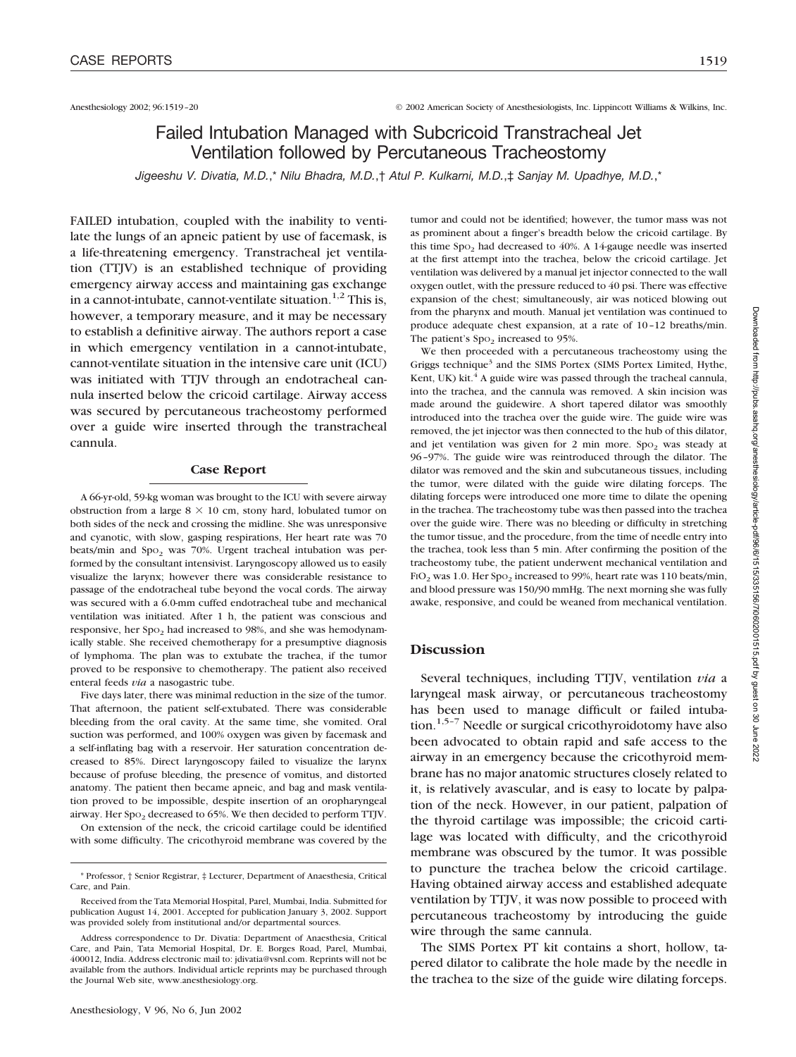Anesthesiology 2002; 96:1519–20 © 2002 American Society of Anesthesiologists, Inc. Lippincott Williams & Wilkins, Inc.

# Failed Intubation Managed with Subcricoid Transtracheal Jet Ventilation followed by Percutaneous Tracheostomy

*Jigeeshu V. Divatia, M.D.*,\* *Nilu Bhadra, M.D.*,† *Atul P. Kulkarni, M.D.*,‡ *Sanjay M. Upadhye, M.D.*,\*

FAILED intubation, coupled with the inability to ventilate the lungs of an apneic patient by use of facemask, is a life-threatening emergency. Transtracheal jet ventilation (TTJV) is an established technique of providing emergency airway access and maintaining gas exchange in a cannot-intubate, cannot-ventilate situation.<sup>1,2</sup> This is, however, a temporary measure, and it may be necessary to establish a definitive airway. The authors report a case in which emergency ventilation in a cannot-intubate, cannot-ventilate situation in the intensive care unit (ICU) was initiated with TTJV through an endotracheal cannula inserted below the cricoid cartilage. Airway access was secured by percutaneous tracheostomy performed over a guide wire inserted through the transtracheal cannula.

### **Case Report**

A 66-yr-old, 59-kg woman was brought to the ICU with severe airway obstruction from a large  $8 \times 10$  cm, stony hard, lobulated tumor on both sides of the neck and crossing the midline. She was unresponsive and cyanotic, with slow, gasping respirations, Her heart rate was 70 beats/min and  $Spo<sub>2</sub>$  was 70%. Urgent tracheal intubation was performed by the consultant intensivist. Laryngoscopy allowed us to easily visualize the larynx; however there was considerable resistance to passage of the endotracheal tube beyond the vocal cords. The airway was secured with a 6.0-mm cuffed endotracheal tube and mechanical ventilation was initiated. After 1 h, the patient was conscious and responsive, her Spo<sub>2</sub> had increased to 98%, and she was hemodynamically stable. She received chemotherapy for a presumptive diagnosis of lymphoma. The plan was to extubate the trachea, if the tumor proved to be responsive to chemotherapy. The patient also received enteral feeds *via* a nasogastric tube.

Five days later, there was minimal reduction in the size of the tumor. That afternoon, the patient self-extubated. There was considerable bleeding from the oral cavity. At the same time, she vomited. Oral suction was performed, and 100% oxygen was given by facemask and a self-inflating bag with a reservoir. Her saturation concentration decreased to 85%. Direct laryngoscopy failed to visualize the larynx because of profuse bleeding, the presence of vomitus, and distorted anatomy. The patient then became apneic, and bag and mask ventilation proved to be impossible, despite insertion of an oropharyngeal airway. Her  $Spo<sub>2</sub>$  decreased to 65%. We then decided to perform TTJV.

On extension of the neck, the cricoid cartilage could be identified with some difficulty. The cricothyroid membrane was covered by the

tumor and could not be identified; however, the tumor mass was not as prominent about a finger's breadth below the cricoid cartilage. By this time  $Spo<sub>2</sub>$  had decreased to 40%. A 14-gauge needle was inserted at the first attempt into the trachea, below the cricoid cartilage. Jet ventilation was delivered by a manual jet injector connected to the wall oxygen outlet, with the pressure reduced to 40 psi. There was effective expansion of the chest; simultaneously, air was noticed blowing out from the pharynx and mouth. Manual jet ventilation was continued to produce adequate chest expansion, at a rate of 10–12 breaths/min. The patient's  $Spo<sub>2</sub>$  increased to 95%.

We then proceeded with a percutaneous tracheostomy using the Griggs technique<sup>3</sup> and the SIMS Portex (SIMS Portex Limited, Hythe, Kent, UK) kit.<sup>4</sup> A guide wire was passed through the tracheal cannula, into the trachea, and the cannula was removed. A skin incision was made around the guidewire. A short tapered dilator was smoothly introduced into the trachea over the guide wire. The guide wire was removed, the jet injector was then connected to the hub of this dilator, and jet ventilation was given for  $2$  min more. Spo<sub>2</sub> was steady at 96–97%. The guide wire was reintroduced through the dilator. The dilator was removed and the skin and subcutaneous tissues, including the tumor, were dilated with the guide wire dilating forceps. The dilating forceps were introduced one more time to dilate the opening in the trachea. The tracheostomy tube was then passed into the trachea over the guide wire. There was no bleeding or difficulty in stretching the tumor tissue, and the procedure, from the time of needle entry into the trachea, took less than 5 min. After confirming the position of the tracheostomy tube, the patient underwent mechanical ventilation and  $FIO<sub>2</sub>$  was 1.0. Her Spo<sub>2</sub> increased to 99%, heart rate was 110 beats/min, and blood pressure was 150/90 mmHg. The next morning she was fully awake, responsive, and could be weaned from mechanical ventilation.

## **Discussion**

Several techniques, including TTJV, ventilation *via* a laryngeal mask airway, or percutaneous tracheostomy has been used to manage difficult or failed intubation.<sup>1,5-7</sup> Needle or surgical cricothyroidotomy have also been advocated to obtain rapid and safe access to the airway in an emergency because the cricothyroid membrane has no major anatomic structures closely related to it, is relatively avascular, and is easy to locate by palpation of the neck. However, in our patient, palpation of the thyroid cartilage was impossible; the cricoid cartilage was located with difficulty, and the cricothyroid membrane was obscured by the tumor. It was possible to puncture the trachea below the cricoid cartilage. Having obtained airway access and established adequate ventilation by TTJV, it was now possible to proceed with percutaneous tracheostomy by introducing the guide wire through the same cannula.

The SIMS Portex PT kit contains a short, hollow, tapered dilator to calibrate the hole made by the needle in the trachea to the size of the guide wire dilating forceps.

<sup>\*</sup> Professor, † Senior Registrar, ‡ Lecturer, Department of Anaesthesia, Critical Care, and Pain.

Received from the Tata Memorial Hospital, Parel, Mumbai, India. Submitted for publication August 14, 2001. Accepted for publication January 3, 2002. Support was provided solely from institutional and/or departmental sources.

Address correspondence to Dr. Divatia: Department of Anaesthesia, Critical Care, and Pain, Tata Memorial Hospital, Dr. E. Borges Road, Parel, Mumbai, 400012, India. Address electronic mail to: jdivatia@vsnl.com. Reprints will not be available from the authors. Individual article reprints may be purchased through the Journal Web site, www.anesthesiology.org.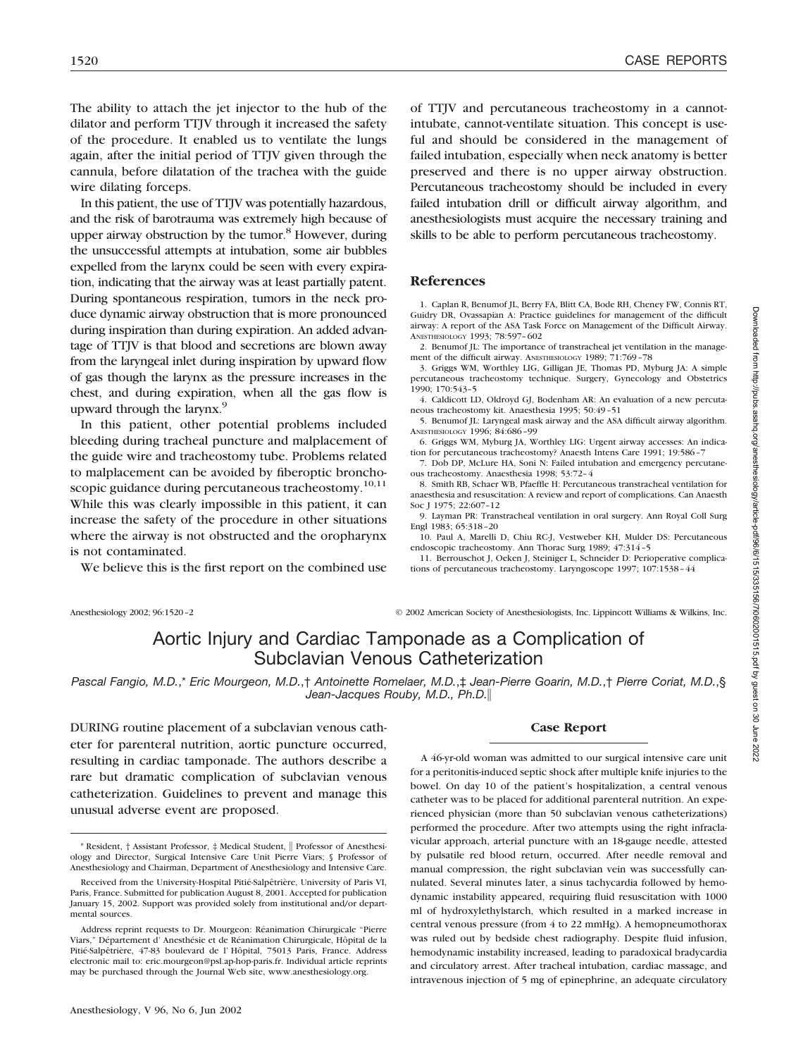The ability to attach the jet injector to the hub of the dilator and perform TTJV through it increased the safety of the procedure. It enabled us to ventilate the lungs again, after the initial period of TTJV given through the cannula, before dilatation of the trachea with the guide wire dilating forceps.

In this patient, the use of TTJV was potentially hazardous, and the risk of barotrauma was extremely high because of upper airway obstruction by the tumor.<sup>8</sup> However, during the unsuccessful attempts at intubation, some air bubbles expelled from the larynx could be seen with every expiration, indicating that the airway was at least partially patent. During spontaneous respiration, tumors in the neck produce dynamic airway obstruction that is more pronounced during inspiration than during expiration. An added advantage of TTJV is that blood and secretions are blown away from the laryngeal inlet during inspiration by upward flow of gas though the larynx as the pressure increases in the chest, and during expiration, when all the gas flow is upward through the larynx.<sup>9</sup>

In this patient, other potential problems included bleeding during tracheal puncture and malplacement of the guide wire and tracheostomy tube. Problems related to malplacement can be avoided by fiberoptic bronchoscopic guidance during percutaneous tracheostomy.<sup>10,11</sup> While this was clearly impossible in this patient, it can increase the safety of the procedure in other situations where the airway is not obstructed and the oropharynx is not contaminated.

We believe this is the first report on the combined use

of TTJV and percutaneous tracheostomy in a cannotintubate, cannot-ventilate situation. This concept is useful and should be considered in the management of failed intubation, especially when neck anatomy is better preserved and there is no upper airway obstruction. Percutaneous tracheostomy should be included in every failed intubation drill or difficult airway algorithm, and anesthesiologists must acquire the necessary training and skills to be able to perform percutaneous tracheostomy.

## **References**

1. Caplan R, Benumof JL, Berry FA, Blitt CA, Bode RH, Cheney FW, Connis RT, Guidry DR, Ovassapian A: Practice guidelines for management of the difficult airway: A report of the ASA Task Force on Management of the Difficult Airway. ANESTHESIOLOGY 1993; 78:597–602

2. Benumof JL: The importance of transtracheal jet ventilation in the management of the difficult airway. ANESTHESIOLOGY 1989; 71:769–78

3. Griggs WM, Worthley LIG, Gilligan JE, Thomas PD, Myburg JA: A simple percutaneous tracheostomy technique. Surgery, Gynecology and Obstetrics 1990; 170:543–5

4. Caldicott LD, Oldroyd GJ, Bodenham AR: An evaluation of a new percutaneous tracheostomy kit. Anaesthesia 1995; 50:49–51

5. Benumof JL: Laryngeal mask airway and the ASA difficult airway algorithm. ANESTHESIOLOGY 1996; 84:686–99

6. Griggs WM, Myburg JA, Worthley LIG: Urgent airway accesses: An indication for percutaneous tracheostomy? Anaesth Intens Care 1991; 19:586–7

7. Dob DP, McLure HA, Soni N: Failed intubation and emergency percutaneous tracheostomy. Anaesthesia 1998; 53:72–4

8. Smith RB, Schaer WB, Pfaeffle H: Percutaneous transtracheal ventilation for anaesthesia and resuscitation: A review and report of complications. Can Anaesth Soc J 1975; 22:607–12

9. Layman PR: Transtracheal ventilation in oral surgery. Ann Royal Coll Surg Engl 1983; 65:318–20

10. Paul A, Marelli D, Chiu RC-J, Vestweber KH, Mulder DS: Percutaneous endoscopic tracheostomy. Ann Thorac Surg 1989; 47:314–5

11. Berrouschot J, Oeken J, Steiniger L, Schneider D: Perioperative complications of percutaneous tracheostomy. Laryngoscope 1997; 107:1538–44

Downloaded from http://pubs.asahq.org/anesthesiology/article-pdf/96/6/1515/335156/7i0602001515.pdf by guest on 30 June 2022

Anesthesiology 2002; 96:1520–2 © 2002 American Society of Anesthesiologists, Inc. Lippincott Williams & Wilkins, Inc.

# Aortic Injury and Cardiac Tamponade as a Complication of Subclavian Venous Catheterization

*Pascal Fangio, M.D.*,\* *Eric Mourgeon, M.D.*,† *Antoinette Romelaer, M.D.*,‡ *Jean-Pierre Goarin, M.D.*,† *Pierre Coriat, M.D.*,§ *Jean-Jacques Rouby, M.D., Ph.D.*

DURING routine placement of a subclavian venous catheter for parenteral nutrition, aortic puncture occurred, resulting in cardiac tamponade. The authors describe a rare but dramatic complication of subclavian venous catheterization. Guidelines to prevent and manage this unusual adverse event are proposed.

## **Case Report**

A 46-yr-old woman was admitted to our surgical intensive care unit for a peritonitis-induced septic shock after multiple knife injuries to the bowel. On day 10 of the patient's hospitalization, a central venous catheter was to be placed for additional parenteral nutrition. An experienced physician (more than 50 subclavian venous catheterizations) performed the procedure. After two attempts using the right infraclavicular approach, arterial puncture with an 18-gauge needle, attested by pulsatile red blood return, occurred. After needle removal and manual compression, the right subclavian vein was successfully cannulated. Several minutes later, a sinus tachycardia followed by hemodynamic instability appeared, requiring fluid resuscitation with 1000 ml of hydroxylethylstarch, which resulted in a marked increase in central venous pressure (from 4 to 22 mmHg). A hemopneumothorax was ruled out by bedside chest radiography. Despite fluid infusion, hemodynamic instability increased, leading to paradoxical bradycardia and circulatory arrest. After tracheal intubation, cardiac massage, and intravenous injection of 5 mg of epinephrine, an adequate circulatory

<sup>\*</sup> Resident, † Assistant Professor, ‡ Medical Student, Professor of Anesthesiology and Director, Surgical Intensive Care Unit Pierre Viars; § Professor of Anesthesiology and Chairman, Department of Anesthesiology and Intensive Care.

Received from the University-Hospital Pitié-Salpêtrière, University of Paris VI, Paris, France. Submitted for publication August 8, 2001. Accepted for publication January 15, 2002. Support was provided solely from institutional and/or departmental sources.

Address reprint requests to Dr. Mourgeon: Réanimation Chirurgicale "Pierre Viars," Département d' Anesthésie et de Réanimation Chirurgicale, Hôpital de la Pitié-Salpêtrière, 47-83 boulevard de l'Hôpital, 75013 Paris, France. electronic mail to: eric.mourgeon@psl.ap-hop-paris.fr. Individual article reprints may be purchased through the Journal Web site, www.anesthesiology.org.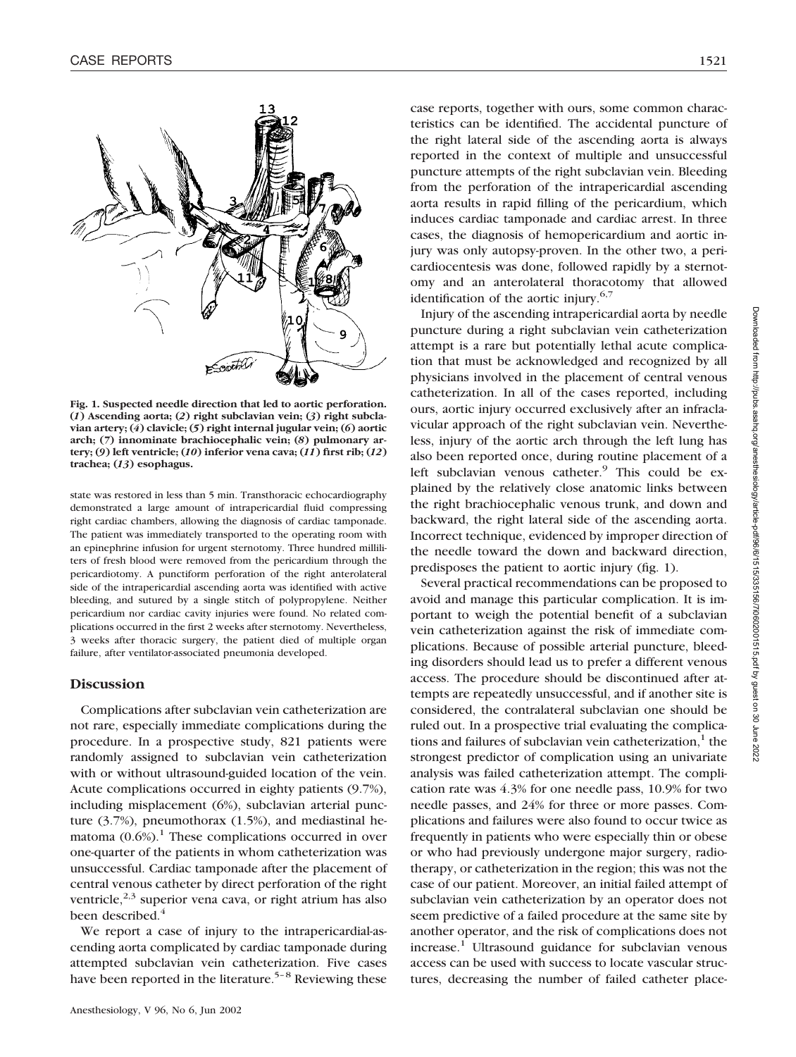

**Fig. 1. Suspected needle direction that led to aortic perforation. (***1***) Ascending aorta; (***2***) right subclavian vein; (***3***) right subclavian artery; (***4***) clavicle; (***5***) right internal jugular vein; (***6***) aortic arch; (***7***) innominate brachiocephalic vein; (***8***) pulmonary artery; (***9***) left ventricle; (***10***) inferior vena cava; (***11***) first rib; (***12***) trachea; (***13***) esophagus.**

state was restored in less than 5 min. Transthoracic echocardiography demonstrated a large amount of intrapericardial fluid compressing right cardiac chambers, allowing the diagnosis of cardiac tamponade. The patient was immediately transported to the operating room with an epinephrine infusion for urgent sternotomy. Three hundred milliliters of fresh blood were removed from the pericardium through the pericardiotomy. A punctiform perforation of the right anterolateral side of the intrapericardial ascending aorta was identified with active bleeding, and sutured by a single stitch of polypropylene. Neither pericardium nor cardiac cavity injuries were found. No related complications occurred in the first 2 weeks after sternotomy. Nevertheless, 3 weeks after thoracic surgery, the patient died of multiple organ failure, after ventilator-associated pneumonia developed.

## **Discussion**

Complications after subclavian vein catheterization are not rare, especially immediate complications during the procedure. In a prospective study, 821 patients were randomly assigned to subclavian vein catheterization with or without ultrasound-guided location of the vein. Acute complications occurred in eighty patients (9.7%), including misplacement (6%), subclavian arterial puncture (3.7%), pneumothorax (1.5%), and mediastinal hematoma  $(0.6\%)$ <sup>1</sup>. These complications occurred in over one-quarter of the patients in whom catheterization was unsuccessful. Cardiac tamponade after the placement of central venous catheter by direct perforation of the right ventricle, $2,3$  superior vena cava, or right atrium has also been described.<sup>4</sup>

We report a case of injury to the intrapericardial-ascending aorta complicated by cardiac tamponade during attempted subclavian vein catheterization. Five cases have been reported in the literature.<sup>5-8</sup> Reviewing these

case reports, together with ours, some common characteristics can be identified. The accidental puncture of the right lateral side of the ascending aorta is always reported in the context of multiple and unsuccessful puncture attempts of the right subclavian vein. Bleeding from the perforation of the intrapericardial ascending aorta results in rapid filling of the pericardium, which induces cardiac tamponade and cardiac arrest. In three cases, the diagnosis of hemopericardium and aortic injury was only autopsy-proven. In the other two, a pericardiocentesis was done, followed rapidly by a sternotomy and an anterolateral thoracotomy that allowed identification of the aortic injury.<sup>6,7</sup>

Injury of the ascending intrapericardial aorta by needle puncture during a right subclavian vein catheterization attempt is a rare but potentially lethal acute complication that must be acknowledged and recognized by all physicians involved in the placement of central venous catheterization. In all of the cases reported, including ours, aortic injury occurred exclusively after an infraclavicular approach of the right subclavian vein. Nevertheless, injury of the aortic arch through the left lung has also been reported once, during routine placement of a left subclavian venous catheter. $9$  This could be explained by the relatively close anatomic links between the right brachiocephalic venous trunk, and down and backward, the right lateral side of the ascending aorta. Incorrect technique, evidenced by improper direction of the needle toward the down and backward direction, predisposes the patient to aortic injury (fig. 1).

Several practical recommendations can be proposed to avoid and manage this particular complication. It is important to weigh the potential benefit of a subclavian vein catheterization against the risk of immediate complications. Because of possible arterial puncture, bleeding disorders should lead us to prefer a different venous access. The procedure should be discontinued after attempts are repeatedly unsuccessful, and if another site is considered, the contralateral subclavian one should be ruled out. In a prospective trial evaluating the complications and failures of subclavian vein catheterization, $<sup>1</sup>$  the</sup> strongest predictor of complication using an univariate analysis was failed catheterization attempt. The complication rate was 4.3% for one needle pass, 10.9% for two needle passes, and 24% for three or more passes. Complications and failures were also found to occur twice as frequently in patients who were especially thin or obese or who had previously undergone major surgery, radiotherapy, or catheterization in the region; this was not the case of our patient. Moreover, an initial failed attempt of subclavian vein catheterization by an operator does not seem predictive of a failed procedure at the same site by another operator, and the risk of complications does not increase.<sup>1</sup> Ultrasound guidance for subclavian venous access can be used with success to locate vascular structures, decreasing the number of failed catheter place-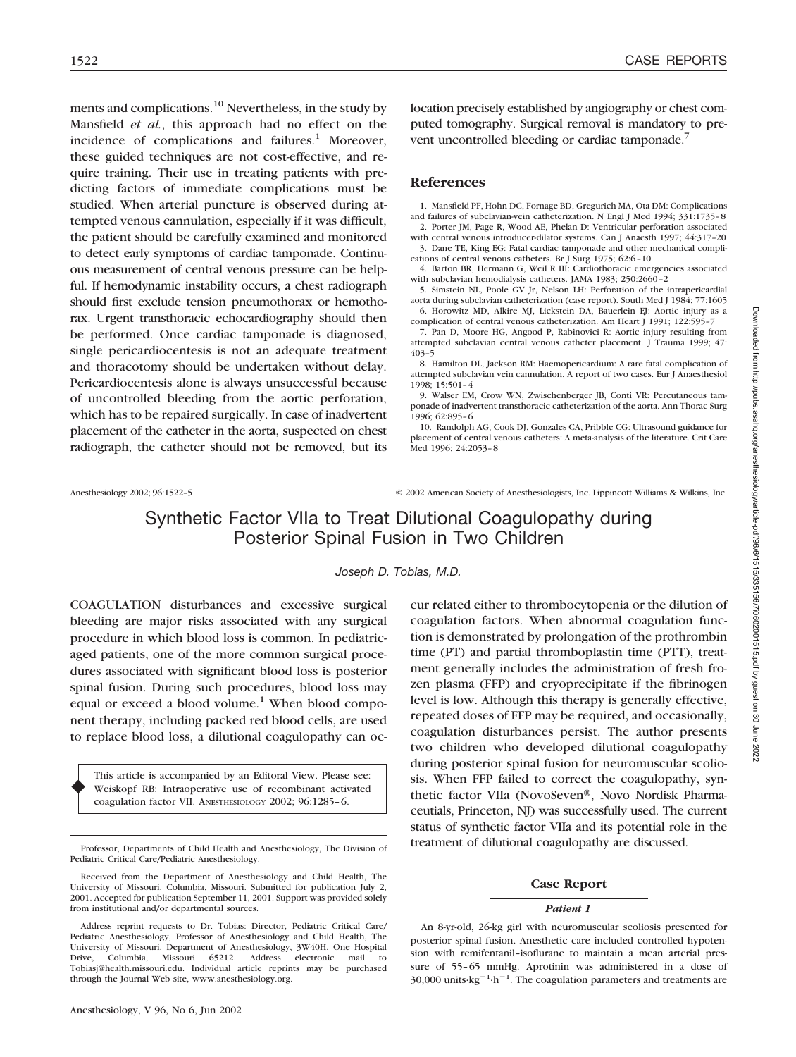ments and complications.10 Nevertheless, in the study by Mansfield *et al.*, this approach had no effect on the incidence of complications and failures. $1$  Moreover, these guided techniques are not cost-effective, and require training. Their use in treating patients with predicting factors of immediate complications must be studied. When arterial puncture is observed during attempted venous cannulation, especially if it was difficult, the patient should be carefully examined and monitored to detect early symptoms of cardiac tamponade. Continuous measurement of central venous pressure can be helpful. If hemodynamic instability occurs, a chest radiograph should first exclude tension pneumothorax or hemothorax. Urgent transthoracic echocardiography should then be performed. Once cardiac tamponade is diagnosed, single pericardiocentesis is not an adequate treatment and thoracotomy should be undertaken without delay. Pericardiocentesis alone is always unsuccessful because of uncontrolled bleeding from the aortic perforation, which has to be repaired surgically. In case of inadvertent placement of the catheter in the aorta, suspected on chest radiograph, the catheter should not be removed, but its

location precisely established by angiography or chest computed tomography. Surgical removal is mandatory to prevent uncontrolled bleeding or cardiac tamponade.<sup>7</sup>

## **References**

1. Mansfield PF, Hohn DC, Fornage BD, Gregurich MA, Ota DM: Complications and failures of subclavian-vein catheterization. N Engl J Med 1994; 331:1735–8

2. Porter JM, Page R, Wood AE, Phelan D: Ventricular perforation associated with central venous introducer-dilator systems. Can J Anaesth 1997; 44:317–20 3. Dane TE, King EG: Fatal cardiac tamponade and other mechanical compli-

cations of central venous catheters. Br J Surg 1975; 62:6–10 4. Barton BR, Hermann G, Weil R III: Cardiothoracic emergencies associated with subclavian hemodialysis catheters. JAMA 1983; 250:2660–2

5. Simstein NL, Poole GV Jr, Nelson LH: Perforation of the intrapericardial aorta during subclavian catheterization (case report). South Med J 1984; 77:1605

6. Horowitz MD, Alkire MJ, Lickstein DA, Bauerlein EJ: Aortic injury as a complication of central venous catheterization. Am Heart J 1991; 122:595–7

7. Pan D, Moore HG, Angood P, Rabinovici R: Aortic injury resulting from attempted subclavian central venous catheter placement. J Trauma 1999; 47: 403–5

8. Hamilton DL, Jackson RM: Haemopericardium: A rare fatal complication of attempted subclavian vein cannulation. A report of two cases. Eur J Anaesthesiol 1998; 15:501–4

9. Walser EM, Crow WN, Zwischenberger JB, Conti VR: Percutaneous tamponade of inadvertent transthoracic catheterization of the aorta. Ann Thorac Surg 1996; 62:895–6

10. Randolph AG, Cook DJ, Gonzales CA, Pribble CG: Ultrasound guidance for placement of central venous catheters: A meta-analysis of the literature. Crit Care Med 1996; 24:2053–8

♦

Anesthesiology 2002; 96:1522–5 © 2002 American Society of Anesthesiologists, Inc. Lippincott Williams & Wilkins, Inc.

# Synthetic Factor VIIa to Treat Dilutional Coagulopathy during Posterior Spinal Fusion in Two Children

*Joseph D. Tobias, M.D.*

COAGULATION disturbances and excessive surgical bleeding are major risks associated with any surgical procedure in which blood loss is common. In pediatricaged patients, one of the more common surgical procedures associated with significant blood loss is posterior spinal fusion. During such procedures, blood loss may equal or exceed a blood volume.<sup>1</sup> When blood component therapy, including packed red blood cells, are used to replace blood loss, a dilutional coagulopathy can oc-

This article is accompanied by an Editoral View. Please see: Weiskopf RB: Intraoperative use of recombinant activated coagulation factor VII. ANESTHESIOLOGY 2002; 96:1285–6.

cur related either to thrombocytopenia or the dilution of coagulation factors. When abnormal coagulation function is demonstrated by prolongation of the prothrombin time (PT) and partial thromboplastin time (PTT), treatment generally includes the administration of fresh frozen plasma (FFP) and cryoprecipitate if the fibrinogen level is low. Although this therapy is generally effective, repeated doses of FFP may be required, and occasionally, coagulation disturbances persist. The author presents two children who developed dilutional coagulopathy during posterior spinal fusion for neuromuscular scoliosis. When FFP failed to correct the coagulopathy, synthetic factor VIIa (NovoSeven®, Novo Nordisk Pharmaceutials, Princeton, NJ) was successfully used. The current status of synthetic factor VIIa and its potential role in the treatment of dilutional coagulopathy are discussed.

### **Case Report**

#### *Patient 1*

An 8-yr-old, 26-kg girl with neuromuscular scoliosis presented for posterior spinal fusion. Anesthetic care included controlled hypotension with remifentanil–isoflurane to maintain a mean arterial pressure of 55–65 mmHg. Aprotinin was administered in a dose of  $30,000$  units·kg<sup>-1</sup>·h<sup>-1</sup>. The coagulation parameters and treatments are

Professor, Departments of Child Health and Anesthesiology, The Division of Pediatric Critical Care/Pediatric Anesthesiology.

Received from the Department of Anesthesiology and Child Health, The University of Missouri, Columbia, Missouri. Submitted for publication July 2, 2001. Accepted for publication September 11, 2001. Support was provided solely from institutional and/or departmental sources.

Address reprint requests to Dr. Tobias: Director, Pediatric Critical Care/ Pediatric Anesthesiology, Professor of Anesthesiology and Child Health, The University of Missouri, Department of Anesthesiology, 3W40H, One Hospital Columbia, Missouri 65212. Address Tobiasj@health.missouri.edu. Individual article reprints may be purchased through the Journal Web site, www.anesthesiology.org.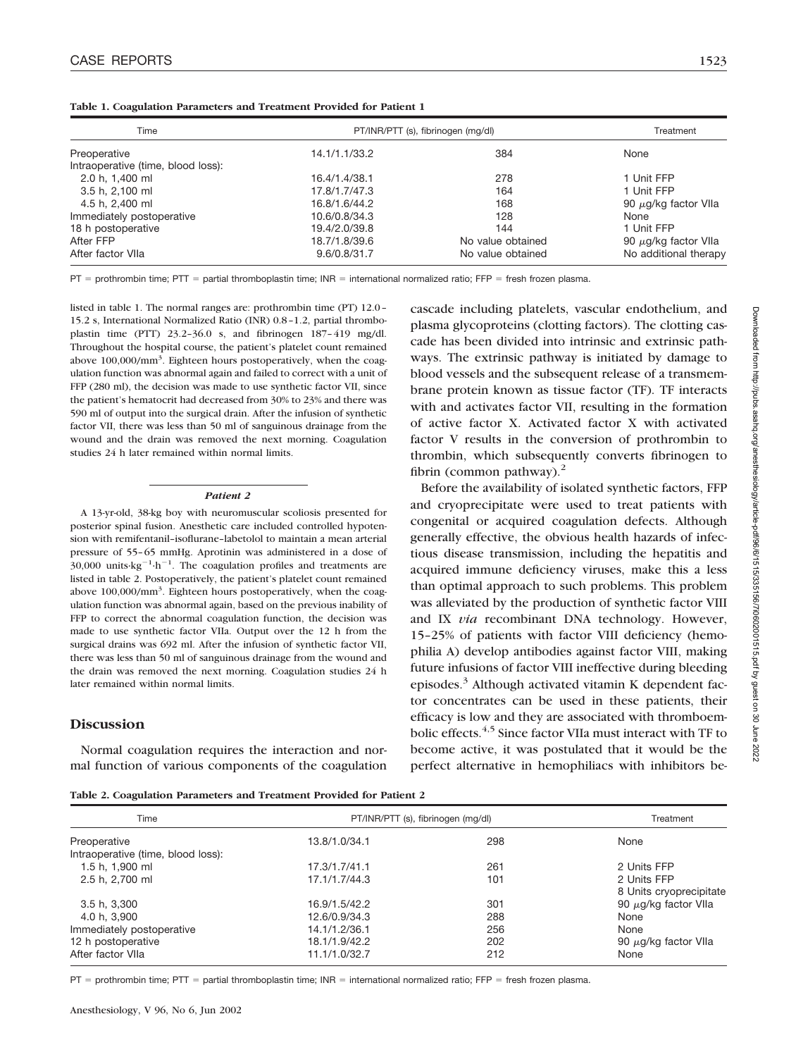|  | Table 1. Coagulation Parameters and Treatment Provided for Patient 1 |  |  |  |  |
|--|----------------------------------------------------------------------|--|--|--|--|
|  |                                                                      |  |  |  |  |

| Time                               | PT/INR/PTT (s), fibrinogen (mg/dl) | Treatment         |                           |  |
|------------------------------------|------------------------------------|-------------------|---------------------------|--|
| Preoperative                       | 14.1/1.1/33.2                      | 384               | None                      |  |
| Intraoperative (time, blood loss): |                                    |                   |                           |  |
| 2.0 h, 1,400 ml                    | 16.4/1.4/38.1                      | 278               | 1 Unit FFP                |  |
| 3.5 h, 2,100 ml                    | 17.8/1.7/47.3                      | 164               | 1 Unit FFP                |  |
| 4.5 h, 2,400 ml                    | 16.8/1.6/44.2                      | 168               | 90 $\mu$ g/kg factor VIIa |  |
| Immediately postoperative          | 10.6/0.8/34.3                      | 128               | None                      |  |
| 18 h postoperative                 | 19.4/2.0/39.8                      | 144               | 1 Unit FFP                |  |
| After FFP                          | 18.7/1.8/39.6                      | No value obtained | 90 $\mu$ g/kg factor VIIa |  |
| After factor VIIa                  | 9.6/0.8/31.7                       | No value obtained | No additional therapy     |  |

 $PT =$  prothrombin time; PTT = partial thromboplastin time; INR = international normalized ratio; FFP = fresh frozen plasma.

listed in table 1. The normal ranges are: prothrombin time (PT) 12.0– 15.2 s, International Normalized Ratio (INR) 0.8–1.2, partial thromboplastin time (PTT) 23.2–36.0 s, and fibrinogen 187–419 mg/dl. Throughout the hospital course, the patient's platelet count remained above 100,000/mm<sup>3</sup>. Eighteen hours postoperatively, when the coagulation function was abnormal again and failed to correct with a unit of FFP (280 ml), the decision was made to use synthetic factor VII, since the patient's hematocrit had decreased from 30% to 23% and there was 590 ml of output into the surgical drain. After the infusion of synthetic factor VII, there was less than 50 ml of sanguinous drainage from the wound and the drain was removed the next morning. Coagulation studies 24 h later remained within normal limits.

### *Patient 2*

A 13-yr-old, 38-kg boy with neuromuscular scoliosis presented for posterior spinal fusion. Anesthetic care included controlled hypotension with remifentanil–isoflurane–labetolol to maintain a mean arterial pressure of 55–65 mmHg. Aprotinin was administered in a dose of  $30,000$  units· $kg^{-1} \cdot h^{-1}$ . The coagulation profiles and treatments are listed in table 2. Postoperatively, the patient's platelet count remained above 100,000/mm<sup>3</sup>. Eighteen hours postoperatively, when the coagulation function was abnormal again, based on the previous inability of FFP to correct the abnormal coagulation function, the decision was made to use synthetic factor VIIa. Output over the 12 h from the surgical drains was 692 ml. After the infusion of synthetic factor VII, there was less than 50 ml of sanguinous drainage from the wound and the drain was removed the next morning. Coagulation studies 24 h later remained within normal limits.

## **Discussion**

Normal coagulation requires the interaction and normal function of various components of the coagulation

**Table 2. Coagulation Parameters and Treatment Provided for Patient 2**

cascade including platelets, vascular endothelium, and plasma glycoproteins (clotting factors). The clotting cascade has been divided into intrinsic and extrinsic pathways. The extrinsic pathway is initiated by damage to blood vessels and the subsequent release of a transmembrane protein known as tissue factor (TF). TF interacts with and activates factor VII, resulting in the formation of active factor X. Activated factor X with activated factor V results in the conversion of prothrombin to thrombin, which subsequently converts fibrinogen to fibrin (common pathway). $^{2}$ 

Before the availability of isolated synthetic factors, FFP and cryoprecipitate were used to treat patients with congenital or acquired coagulation defects. Although generally effective, the obvious health hazards of infectious disease transmission, including the hepatitis and acquired immune deficiency viruses, make this a less than optimal approach to such problems. This problem was alleviated by the production of synthetic factor VIII and IX *via* recombinant DNA technology. However, 15–25% of patients with factor VIII deficiency (hemophilia A) develop antibodies against factor VIII, making future infusions of factor VIII ineffective during bleeding episodes. $3$  Although activated vitamin K dependent factor concentrates can be used in these patients, their efficacy is low and they are associated with thromboembolic effects.<sup>4,5</sup> Since factor VIIa must interact with TF to become active, it was postulated that it would be the perfect alternative in hemophiliacs with inhibitors be-

| Time                               | PT/INR/PTT (s), fibrinogen (mg/dl) | Treatment |                           |  |
|------------------------------------|------------------------------------|-----------|---------------------------|--|
| Preoperative                       | 13.8/1.0/34.1                      | 298       | None                      |  |
| Intraoperative (time, blood loss): |                                    |           |                           |  |
| 1.5 h, 1,900 ml                    | 17.3/1.7/41.1                      | 261       | 2 Units FFP               |  |
| 2.5 h, 2,700 ml                    | 17.1/1.7/44.3                      | 101       | 2 Units FFP               |  |
|                                    |                                    |           | 8 Units cryoprecipitate   |  |
| 3.5 h, 3,300                       | 16.9/1.5/42.2                      | 301       | 90 $\mu$ g/kg factor VIIa |  |
| 4.0 h, 3,900                       | 12.6/0.9/34.3                      | 288       | None                      |  |
| Immediately postoperative          | 14.1/1.2/36.1                      | 256       | None                      |  |
| 12 h postoperative                 | 18.1/1.9/42.2                      | 202       | 90 $\mu$ g/kg factor VIIa |  |
| After factor VIIa                  | 11.1/1.0/32.7                      | 212       | None                      |  |

 $PT =$  prothrombin time; PTT = partial thromboplastin time; INR = international normalized ratio; FFP = fresh frozen plasma.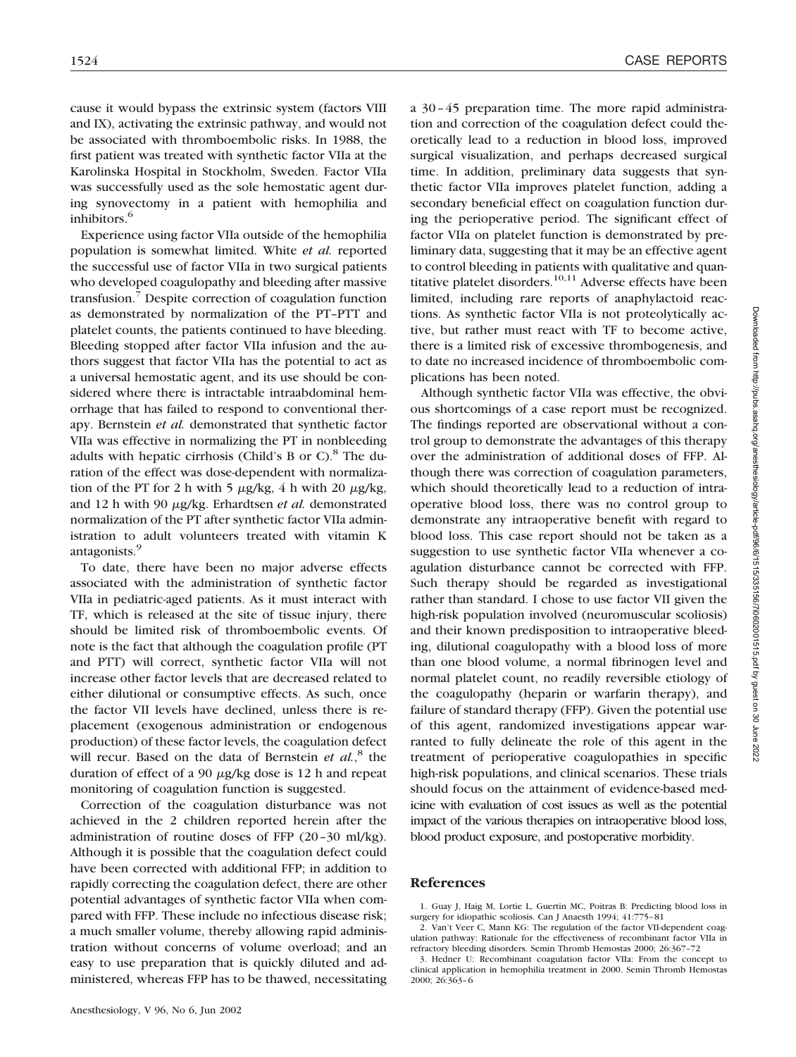cause it would bypass the extrinsic system (factors VIII and IX), activating the extrinsic pathway, and would not be associated with thromboembolic risks. In 1988, the first patient was treated with synthetic factor VIIa at the Karolinska Hospital in Stockholm, Sweden. Factor VIIa was successfully used as the sole hemostatic agent during synovectomy in a patient with hemophilia and inhibitors.<sup>6</sup>

Experience using factor VIIa outside of the hemophilia population is somewhat limited. White *et al.* reported the successful use of factor VIIa in two surgical patients who developed coagulopathy and bleeding after massive transfusion.7 Despite correction of coagulation function as demonstrated by normalization of the PT–PTT and platelet counts, the patients continued to have bleeding. Bleeding stopped after factor VIIa infusion and the authors suggest that factor VIIa has the potential to act as a universal hemostatic agent, and its use should be considered where there is intractable intraabdominal hemorrhage that has failed to respond to conventional therapy. Bernstein *et al.* demonstrated that synthetic factor VIIa was effective in normalizing the PT in nonbleeding adults with hepatic cirrhosis (Child's B or C). $8$  The duration of the effect was dose-dependent with normalization of the PT for 2 h with 5  $\mu$ g/kg, 4 h with 20  $\mu$ g/kg, and 12 h with 90  $\mu$ g/kg. Erhardtsen et al. demonstrated normalization of the PT after synthetic factor VIIa administration to adult volunteers treated with vitamin K antagonists.9

To date, there have been no major adverse effects associated with the administration of synthetic factor VIIa in pediatric-aged patients. As it must interact with TF, which is released at the site of tissue injury, there should be limited risk of thromboembolic events. Of note is the fact that although the coagulation profile (PT and PTT) will correct, synthetic factor VIIa will not increase other factor levels that are decreased related to either dilutional or consumptive effects. As such, once the factor VII levels have declined, unless there is replacement (exogenous administration or endogenous production) of these factor levels, the coagulation defect will recur. Based on the data of Bernstein *et al.*, <sup>8</sup> the duration of effect of a 90  $\mu$ g/kg dose is 12 h and repeat monitoring of coagulation function is suggested.

Correction of the coagulation disturbance was not achieved in the 2 children reported herein after the administration of routine doses of FFP (20–30 ml/kg). Although it is possible that the coagulation defect could have been corrected with additional FFP; in addition to rapidly correcting the coagulation defect, there are other potential advantages of synthetic factor VIIa when compared with FFP. These include no infectious disease risk; a much smaller volume, thereby allowing rapid administration without concerns of volume overload; and an easy to use preparation that is quickly diluted and administered, whereas FFP has to be thawed, necessitating

a 30–45 preparation time. The more rapid administration and correction of the coagulation defect could theoretically lead to a reduction in blood loss, improved surgical visualization, and perhaps decreased surgical time. In addition, preliminary data suggests that synthetic factor VIIa improves platelet function, adding a secondary beneficial effect on coagulation function during the perioperative period. The significant effect of factor VIIa on platelet function is demonstrated by preliminary data, suggesting that it may be an effective agent to control bleeding in patients with qualitative and quantitative platelet disorders. $10,11$  Adverse effects have been limited, including rare reports of anaphylactoid reactions. As synthetic factor VIIa is not proteolytically active, but rather must react with TF to become active, there is a limited risk of excessive thrombogenesis, and to date no increased incidence of thromboembolic complications has been noted.

Although synthetic factor VIIa was effective, the obvious shortcomings of a case report must be recognized. The findings reported are observational without a control group to demonstrate the advantages of this therapy over the administration of additional doses of FFP. Although there was correction of coagulation parameters, which should theoretically lead to a reduction of intraoperative blood loss, there was no control group to demonstrate any intraoperative benefit with regard to blood loss. This case report should not be taken as a suggestion to use synthetic factor VIIa whenever a coagulation disturbance cannot be corrected with FFP. Such therapy should be regarded as investigational rather than standard. I chose to use factor VII given the high-risk population involved (neuromuscular scoliosis) and their known predisposition to intraoperative bleeding, dilutional coagulopathy with a blood loss of more than one blood volume, a normal fibrinogen level and normal platelet count, no readily reversible etiology of the coagulopathy (heparin or warfarin therapy), and failure of standard therapy (FFP). Given the potential use of this agent, randomized investigations appear warranted to fully delineate the role of this agent in the treatment of perioperative coagulopathies in specific high-risk populations, and clinical scenarios. These trials should focus on the attainment of evidence-based medicine with evaluation of cost issues as well as the potential impact of the various therapies on intraoperative blood loss, blood product exposure, and postoperative morbidity.

### **References**

1. Guay J, Haig M, Lortie L, Guertin MC, Poitras B: Predicting blood loss in surgery for idiopathic scoliosis. Can J Anaesth 1994; 41:775–81

2. Van't Veer C, Mann KG: The regulation of the factor VII-dependent coagulation pathway: Rationale for the effectiveness of recombinant factor VIIa in refractory bleeding disorders. Semin Thromb Hemostas 2000; 26:367–72

<sup>3.</sup> Hedner U: Recombinant coagulation factor VIIa: From the concept to clinical application in hemophilia treatment in 2000. Semin Thromb Hemostas 2000; 26:363–6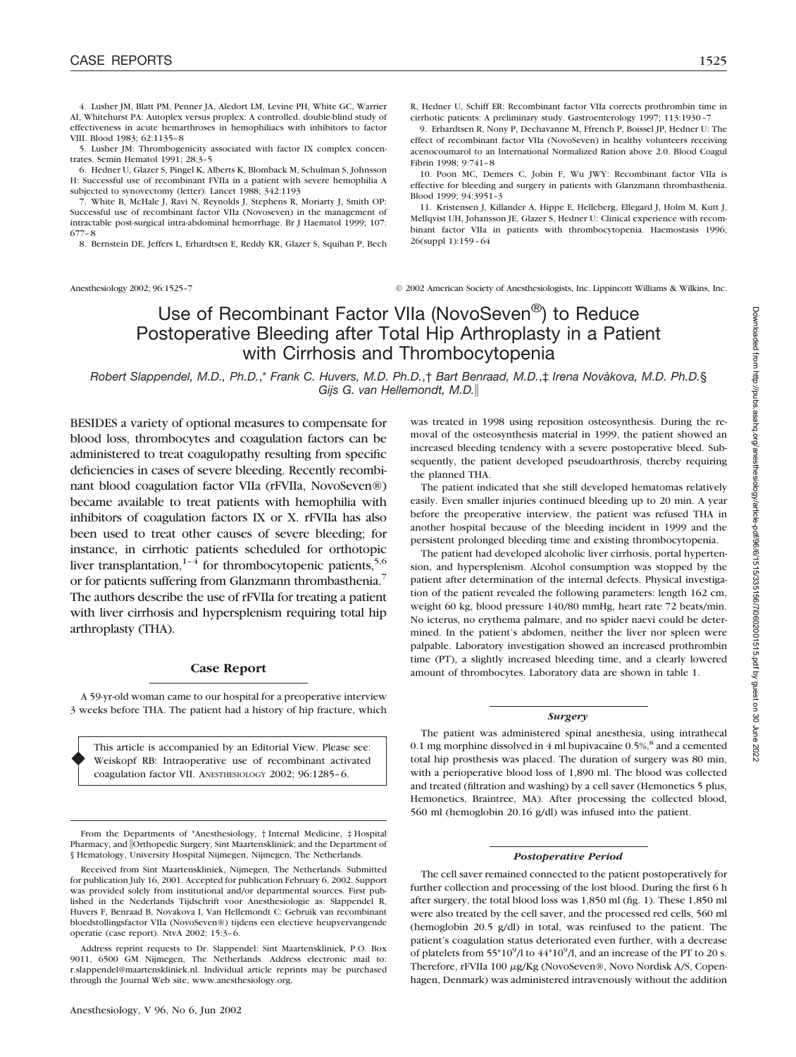4. Lusher JM, Blatt PM, Penner JA, Aledort LM, Levine PH, White GC, Warrier AI, Whitehurst PA: Autoplex versus proplex: A controlled, double-blind study of effectiveness in acute hemarthroses in hemophiliacs with inhibitors to factor VIII. Blood 1983; 62:1135–8

5. Lusher JM: Thrombogenicity associated with factor IX complex concentrates. Semin Hematol 1991; 28:3–5

6. Hedner U, Glazer S, Pingel K, Alberts K, Blomback M, Schulman S, Johnsson H: Successful use of recombinant FVIIa in a patient with severe hemophilia A subjected to synovectomy (letter). Lancet 1988; 342:1193

7. White B, McHale J, Ravi N, Reynolds J, Stephens R, Moriarty J, Smith OP: Successful use of recombinant factor VIIa (Novoseven) in the management of intractable post-surgical intra-abdominal hemorrhage. Br J Haematol 1999; 107: 677–8

8. Bernstein DE, Jeffers L, Erhardtsen E, Reddy KR, Glazer S, Squiban P, Bech

R, Hedner U, Schiff ER: Recombinant factor VIIa corrects prothrombin time in cirrhotic patients: A preliminary study. Gastroenterology 1997; 113:1930–7

9. Erhardtsen R, Nony P, Dechavanne M, Ffrench P, Boissel JP, Hedner U: The effect of recombinant factor VIIa (NovoSeven) in healthy volunteers receiving acenocoumarol to an International Normalized Ration above 2.0. Blood Coagul Fibrin 1998; 9:741–8

10. Poon MC, Demers C, Jobin F, Wu JWY: Recombinant factor VIIa is effective for bleeding and surgery in patients with Glanzmann thrombasthenia. Blood 1999; 94:3951–3

11. Kristensen J, Killander A, Hippe E, Helleberg, Ellegard J, Holm M, Kutt J, Mellqvist UH, Johansson JE, Glazer S, Hedner U: Clinical experience with recombinant factor VIIa in patients with thrombocytopenia. Haemostasis 1996; 26(suppl 1):159–64

Anesthesiology 2002; 96:1525–7 © 2002 American Society of Anesthesiologists, Inc. Lippincott Williams & Wilkins, Inc.

# Use of Recombinant Factor VIIa (NovoSeven®) to Reduce Postoperative Bleeding after Total Hip Arthroplasty in a Patient with Cirrhosis and Thrombocytopenia

*Robert Slappendel, M.D., Ph.D.*,\* *Frank C. Huvers, M.D. Ph.D.*,† *Bart Benraad, M.D.*,‡ *Irena Novàkova, M.D. Ph.D.*§ *Gijs G. van Hellemondt, M.D.*

BESIDES a variety of optional measures to compensate for blood loss, thrombocytes and coagulation factors can be administered to treat coagulopathy resulting from specific deficiencies in cases of severe bleeding. Recently recombinant blood coagulation factor VIIa (rFVIIa, NovoSeven®) became available to treat patients with hemophilia with inhibitors of coagulation factors IX or X. rFVIIa has also been used to treat other causes of severe bleeding; for instance, in cirrhotic patients scheduled for orthotopic liver transplantation,<sup>1–4</sup> for thrombocytopenic patients,<sup>5,6</sup> or for patients suffering from Glanzmann thrombasthenia.7 The authors describe the use of rFVIIa for treating a patient with liver cirrhosis and hypersplenism requiring total hip arthroplasty (THA).

### **Case Report**

A 59-yr-old woman came to our hospital for a preoperative interview 3 weeks before THA. The patient had a history of hip fracture, which

This article is accompanied by an Editorial View. Please see: Weiskopf RB: Intraoperative use of recombinant activated coagulation factor VII. ANESTHESIOLOGY 2002; 96:1285–6.

♦

was treated in 1998 using reposition osteosynthesis. During the removal of the osteosynthesis material in 1999, the patient showed an increased bleeding tendency with a severe postoperative bleed. Subsequently, the patient developed pseudoarthrosis, thereby requiring the planned THA.

The patient indicated that she still developed hematomas relatively easily. Even smaller injuries continued bleeding up to 20 min. A year before the preoperative interview, the patient was refused THA in another hospital because of the bleeding incident in 1999 and the persistent prolonged bleeding time and existing thrombocytopenia.

The patient had developed alcoholic liver cirrhosis, portal hypertension, and hypersplenism. Alcohol consumption was stopped by the patient after determination of the internal defects. Physical investigation of the patient revealed the following parameters: length 162 cm, weight 60 kg, blood pressure 140/80 mmHg, heart rate 72 beats/min. No icterus, no erythema palmare, and no spider naevi could be determined. In the patient's abdomen, neither the liver nor spleen were palpable. Laboratory investigation showed an increased prothrombin time (PT), a slightly increased bleeding time, and a clearly lowered amount of thrombocytes. Laboratory data are shown in table 1.

#### *Surgery*

The patient was administered spinal anesthesia, using intrathecal 0.1 mg morphine dissolved in  $4$  ml bupivacaïne 0.5%, $8$  and a cemented total hip prosthesis was placed. The duration of surgery was 80 min, with a perioperative blood loss of 1,890 ml. The blood was collected and treated (filtration and washing) by a cell saver (Hemonetics 5 plus, Hemonetics, Braintree, MA). After processing the collected blood, 560 ml (hemoglobin 20.16 g/dl) was infused into the patient.

#### *Postoperative Period*

The cell saver remained connected to the patient postoperatively for further collection and processing of the lost blood. During the first 6 h after surgery, the total blood loss was 1,850 ml (fig. 1). These 1,850 ml were also treated by the cell saver, and the processed red cells, 560 ml (hemoglobin 20.5 g/dl) in total, was reinfused to the patient. The patient's coagulation status deteriorated even further, with a decrease of platelets from 55\*10<sup>9</sup>/l to 44\*10<sup>9</sup>/l, and an increase of the PT to 20 s. Therefore, rFVIIa 100 µg/Kg (NovoSeven®, Novo Nordisk A/S, Copenhagen, Denmark) was administered intravenously without the addition

From the Departments of \*Anesthesiology, † Internal Medicine, ‡ Hospital Pharmacy, and *Orthopedic Surgery*, Sint Maartenskliniek; and the Department of § Hematology, University Hospital Nijmegen, Nijmegen, The Netherlands.

Received from Sint Maartenskliniek, Nijmegen, The Netherlands. Submitted for publication July 16, 2001. Accepted for publication February 6, 2002. Support was provided solely from institutional and/or departmental sources. First published in the Nederlands Tijdschrift voor Anesthesiologie as: Slappendel R, Huvers F, Benraad B, Novakova I, Van Hellemondt C: Gebruik van recombinant bloedstollingsfactor VIIa (NovoSeven®) tijdens een electieve heupvervangende operatie (case report). NtvA 2002; 15:3–6.

Address reprint requests to Dr. Slappendel: Sint Maartenskliniek, P.O. Box 9011, 6500 GM Nijmegen, The Netherlands. Address electronic mail to: r.slappendel@maartenskliniek.nl. Individual article reprints may be purchased through the Journal Web site, www.anesthesiology.org.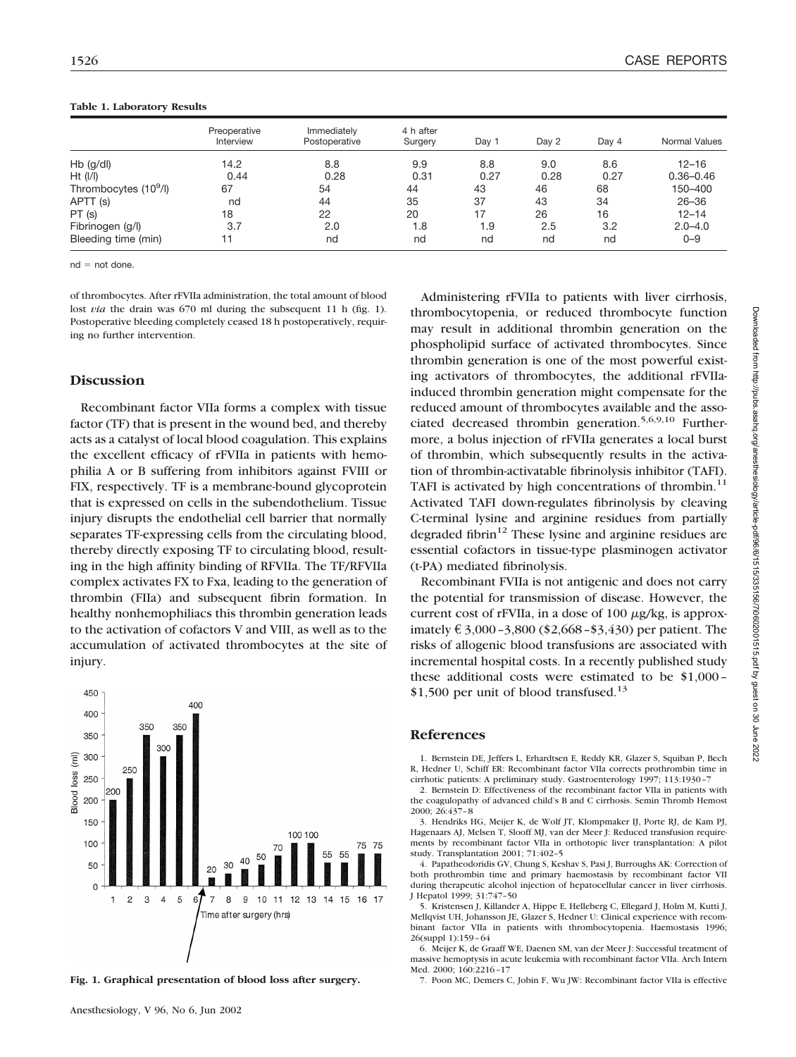|                                   | Preoperative<br>Interview | Immediately<br>Postoperative | 4 h after<br>Surgery | Day 1 | Day 2 | Day 4 | Normal Values |
|-----------------------------------|---------------------------|------------------------------|----------------------|-------|-------|-------|---------------|
| $Hb$ (g/dl)                       | 14.2                      | 8.8                          | 9.9                  | 8.8   | 9.0   | 8.6   | $12 - 16$     |
| $Ht$ ( $I/I$ )                    | 0.44                      | 0.28                         | 0.31                 | 0.27  | 0.28  | 0.27  | $0.36 - 0.46$ |
| Thrombocytes (10 <sup>9</sup> /l) | 67                        | 54                           | 44                   | 43    | 46    | 68    | 150-400       |
| APTT (s)                          | nd                        | 44                           | 35                   | 37    | 43    | 34    | $26 - 36$     |
| PT(s)                             | 18                        | 22                           | 20                   | 17    | 26    | 16    | $12 - 14$     |
| Fibrinogen (g/l)                  | 3.7                       | 2.0                          | 1.8                  | 1.9   | 2.5   | 3.2   | $2.0 - 4.0$   |
| Bleeding time (min)               | 11                        | nd                           | nd                   | nd    | nd    | nd    | $0 - 9$       |

#### **Table 1. Laboratory Results**

 $nd = not done$ .

of thrombocytes. After rFVIIa administration, the total amount of blood lost *via* the drain was 670 ml during the subsequent 11 h (fig. 1). Postoperative bleeding completely ceased 18 h postoperatively, requiring no further intervention.

## **Discussion**

Recombinant factor VIIa forms a complex with tissue factor (TF) that is present in the wound bed, and thereby acts as a catalyst of local blood coagulation. This explains the excellent efficacy of rFVIIa in patients with hemophilia A or B suffering from inhibitors against FVIII or FIX, respectively. TF is a membrane-bound glycoprotein that is expressed on cells in the subendothelium. Tissue injury disrupts the endothelial cell barrier that normally separates TF-expressing cells from the circulating blood, thereby directly exposing TF to circulating blood, resulting in the high affinity binding of RFVIIa. The TF/RFVIIa complex activates FX to Fxa, leading to the generation of thrombin (FIIa) and subsequent fibrin formation. In healthy nonhemophiliacs this thrombin generation leads to the activation of cofactors V and VIII, as well as to the accumulation of activated thrombocytes at the site of injury.



**Fig. 1. Graphical presentation of blood loss after surgery.**

Administering rFVIIa to patients with liver cirrhosis, thrombocytopenia, or reduced thrombocyte function may result in additional thrombin generation on the phospholipid surface of activated thrombocytes. Since thrombin generation is one of the most powerful existing activators of thrombocytes, the additional rFVIIainduced thrombin generation might compensate for the reduced amount of thrombocytes available and the associated decreased thrombin generation.<sup>5,6,9,10</sup> Furthermore, a bolus injection of rFVIIa generates a local burst of thrombin, which subsequently results in the activation of thrombin-activatable fibrinolysis inhibitor (TAFI). TAFI is activated by high concentrations of thrombin.<sup>11</sup> Activated TAFI down-regulates fibrinolysis by cleaving C-terminal lysine and arginine residues from partially degraded fibrin $12$  These lysine and arginine residues are essential cofactors in tissue-type plasminogen activator (t-PA) mediated fibrinolysis.

Recombinant FVIIa is not antigenic and does not carry the potential for transmission of disease. However, the current cost of  $rFVIIa$ , in a dose of 100  $\mu$ g/kg, is approximately € 3,000 -3,800 (\$2,668 - \$3,430) per patient. The risks of allogenic blood transfusions are associated with incremental hospital costs. In a recently published study these additional costs were estimated to be \$1,000– \$1,500 per unit of blood transfused.<sup>13</sup>

### **References**

1. Bernstein DE, Jeffers L, Erhardtsen E, Reddy KR, Glazer S, Squiban P, Bech R, Hedner U, Schiff ER: Recombinant factor VIIa corrects prothrombin time in cirrhotic patients: A preliminary study. Gastroenterology 1997; 113:1930–7

2. Bernstein D: Effectiveness of the recombinant factor VIIa in patients with the coagulopathy of advanced child's B and C cirrhosis. Semin Thromb Hemost 2000; 26:437–8

3. Hendriks HG, Meijer K, de Wolf JT, Klompmaker IJ, Porte RJ, de Kam PJ, Hagenaars AJ, Melsen T, Slooff MJ, van der Meer J: Reduced transfusion requirements by recombinant factor VIIa in orthotopic liver transplantation: A pilot study. Transplantation 2001; 71:402–5

4. Papatheodoridis GV, Chung S, Keshav S, Pasi J, Burroughs AK: Correction of both prothrombin time and primary haemostasis by recombinant factor VII during therapeutic alcohol injection of hepatocellular cancer in liver cirrhosis. J Hepatol 1999; 31:747–50

5. Kristensen J, Killander A, Hippe E, Helleberg C, Ellegard J, Holm M, Kutti J, Mellqvist UH, Johansson JE, Glazer S, Hedner U: Clinical experience with recombinant factor VIIa in patients with thrombocytopenia. Haemostasis 1996; 26(suppl 1):159–64

6. Meijer K, de Graaff WE, Daenen SM, van der Meer J: Successful treatment of massive hemoptysis in acute leukemia with recombinant factor VIIa. Arch Intern Med. 2000; 160:2216–17

7. Poon MC, Demers C, Jobin F, Wu JW: Recombinant factor VIIa is effective